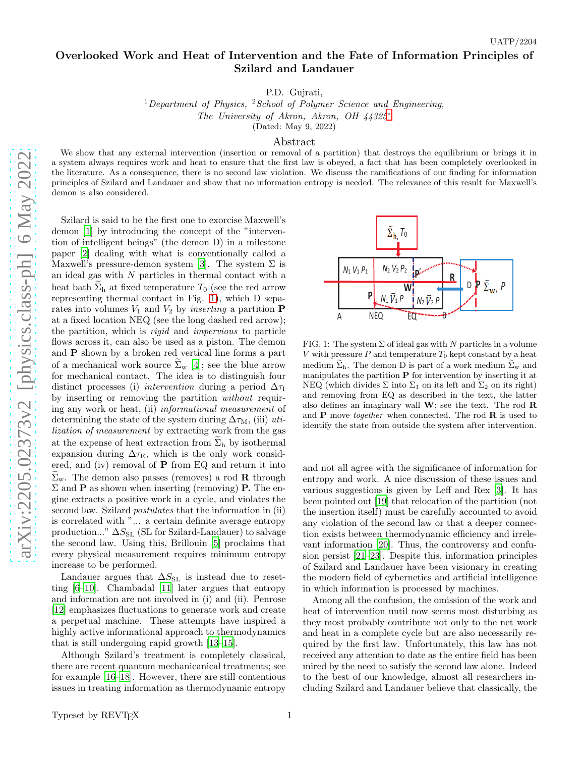## Overlooked Work and Heat of Intervention and the Fate of Information Principles of Szilard and Landauer

P.D. Gujrati,

<sup>1</sup>Department of Physics, <sup>2</sup>School of Polymer Science and Engineering, The University of Akron, Akron, OH 44325[∗](#page-3-0) (Dated: May 9, 2022)

## Abstract

We show that any external intervention (insertion or removal of a partition) that destroys the equilibrium or brings it in a system always requires work and heat to ensure that the first law is obeyed, a fact that has been completely overlooked in the literature. As a consequence, there is no second law violation. We discuss the ramifications of our finding for information principles of Szilard and Landauer and show that no information entropy is needed. The relevance of this result for Maxwell's demon is also considered.

Szilard is said to be the first one to exorcise Maxwell's demon [\[1\]](#page-3-1) by introducing the concept of the "intervention of intelligent beings" (the demon D) in a milestone paper [\[2](#page-3-2)] dealing with what is conventionally called a Maxwell's pressure-demon system [\[3](#page-3-3)]. The system  $\Sigma$  is an ideal gas with  $N$  particles in thermal contact with  ${\bf a}$ heat bath  $\Sigma_h$  at fixed temperature  $T_0$  (see the red arrow representing thermal contact in Fig. [1\)](#page-0-0), which D separates into volumes  $V_1$  and  $V_2$  by *inserting* a partition **P** at a fixed location NEQ (see the long dashed red arrow); the partition, which is rigid and impervious to particle flows across it, can also be used as a piston. The demon and P shown by a broken red vertical line forms a part of a mechanical work source  $\Sigma_{w}$  [\[4\]](#page-3-4); see the blue arrow for mechanical contact. The idea is to distinguish four distinct processes (i) intervention during a period  $\Delta \tau_I$ by inserting or removing the partition without requiring any work or heat, (ii) informational measurement of determining the state of the system during  $\Delta \tau_M$ , (iii) utilization of measurement by extracting work from the gas at the expense of heat extraction from  $\Sigma_h$  by isothermal expansion during  $\Delta \tau_{\rm E}$ , which is the only work considered, and (iv) removal of P from EQ and return it into  $\widetilde{\Sigma}_{w}$ . The demon also passes (removes) a rod **R** through  $\Sigma$  and **P** as shown when inserting (removing) **P.** The engine extracts a positive work in a cycle, and violates the second law. Szilard *postulates* that the information in (ii) is correlated with "... a certain definite average entropy production..."  $\Delta S_{\text{SL}}$  (SL for Szilard-Landauer) to salvage the second law. Using this, Brillouin [\[5\]](#page-3-5) proclaims that every physical measurement requires minimum entropy increase to be performed.

Landauer argues that  $\Delta S_{\text{SL}}$  is instead due to resetting [\[6](#page-3-6)[–10\]](#page-3-7). Chambadal [\[11](#page-3-8)] later argues that entropy and information are not involved in (i) and (ii). Penrose [\[12\]](#page-3-9) emphasizes fluctuations to generate work and create a perpetual machine. These attempts have inspired a highly active informational approach to thermodynamics that is still undergoing rapid growth [\[13](#page-3-10)[–15\]](#page-3-11).

Although Szilard's treatment is completely classical, there are recent quantum mechanicanical treatments; see for example [\[16](#page-3-12)[–18\]](#page-3-13). However, there are still contentious issues in treating information as thermodynamic entropy



<span id="page-0-0"></span>FIG. 1: The system  $\Sigma$  of ideal gas with N particles in a volume V with pressure  $P$  and temperature  $T_0$  kept constant by a heat medium  $\widetilde{\Sigma}_{h}$ . The demon D is part of a work medium  $\widetilde{\Sigma}_{w}$  and manipulates the partition  $P$  for intervention by inserting it at NEQ (which divides  $\Sigma$  into  $\Sigma_1$  on its left and  $\Sigma_2$  on its right) and removing from EQ as described in the text, the latter also defines an imaginary wall  $W$ ; see the text. The rod  $R$ and  $P$  move *together* when connected. The rod  $R$  is used to identify the state from outside the system after intervention.

and not all agree with the significance of information for entropy and work. A nice discussion of these issues and various suggestions is given by Leff and Rex [\[3\]](#page-3-3). It has been pointed out [\[19\]](#page-3-14) that relocation of the partition (not the insertion itself) must be carefully accounted to avoid any violation of the second law or that a deeper connection exists between thermodynamic efficiency and irrelevant information [\[20](#page-3-15)]. Thus, the controversy and confusion persist [\[21](#page-3-16)[–23\]](#page-3-17). Despite this, information principles of Szilard and Landauer have been visionary in creating the modern field of cybernetics and artificial intelligence in which information is processed by machines.

Among all the confusion, the omission of the work and heat of intervention until now seems most disturbing as they most probably contribute not only to the net work and heat in a complete cycle but are also necessarily required by the first law. Unfortunately, this law has not received any attention to date as the entire field has been mired by the need to satisfy the second law alone. Indeed to the best of our knowledge, almost all researchers including Szilard and Landauer believe that classically, the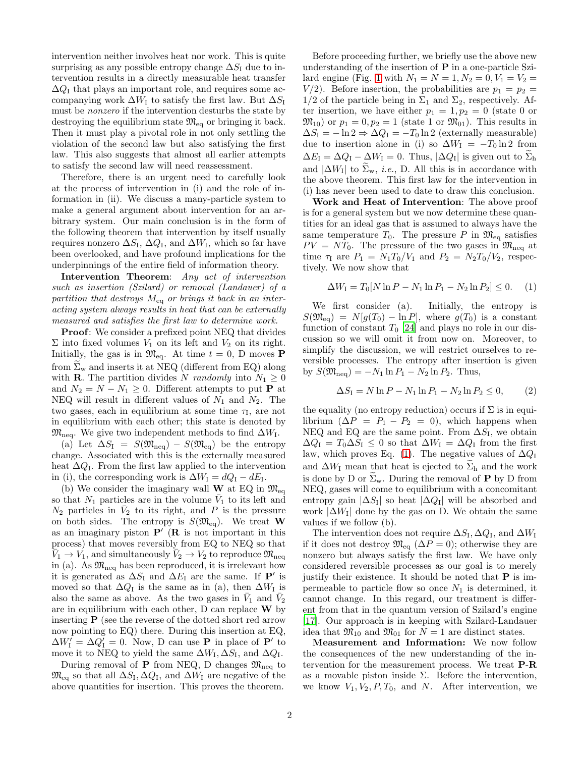intervention neither involves heat nor work. This is quite surprising as any possible entropy change  $\Delta S_I$  due to intervention results in a directly measurable heat transfer  $\Delta Q_{\rm I}$  that plays an important role, and requires some accompanying work  $\Delta W_I$  to satisfy the first law. But  $\Delta S_I$ must be nonzero if the intervention desturbs the state by destroying the equilibrium state  $\mathfrak{M}_{\text{eq}}$  or bringing it back. Then it must play a pivotal role in not only settling the violation of the second law but also satisfying the first law. This also suggests that almost all earlier attempts to satisfy the second law will need reassessment.

Therefore, there is an urgent need to carefully look at the process of intervention in (i) and the role of information in (ii). We discuss a many-particle system to make a general argument about intervention for an arbitrary system. Our main conclusion is in the form of the following theorem that intervention by itself usually requires nonzero  $\Delta S_{\text{I}}$ ,  $\Delta Q_{\text{I}}$ , and  $\Delta W_{\text{I}}$ , which so far have been overlooked, and have profound implications for the underpinnings of the entire field of information theory.

Intervention Theorem: Any act of intervention such as insertion (Szilard) or removal (Landauer) of a partition that destroys  $M_{eq}$  or brings it back in an interacting system always results in heat that can be externally measured and satisfies the first law to determine work.

**Proof:** We consider a prefixed point NEQ that divides  $\Sigma$  into fixed volumes  $V_1$  on its left and  $V_2$  on its right. Initially, the gas is in  $\mathfrak{M}_{eq}$ . At time  $t = 0$ , D moves **P** from  $\Sigma_{w}$  and inserts it at NEQ (different from EQ) along with **R**. The partition divides N randomly into  $N_1 \geq 0$ and  $N_2 = N - N_1 \geq 0$ . Different attempts to put **P** at NEQ will result in different values of  $N_1$  and  $N_2$ . The two gases, each in equilibrium at some time  $\tau_1$ , are not in equilibrium with each other; this state is denoted by  $\mathfrak{M}_{\text{neq}}$ . We give two independent methods to find  $\Delta W_{\text{I}}$ .

(a) Let  $\Delta S_{\rm I} = S(\mathfrak{M}_{\rm neq}) - S(\mathfrak{M}_{\rm eq})$  be the entropy change. Associated with this is the externally measured heat  $\Delta Q_I$ . From the first law applied to the intervention in (i), the corresponding work is  $\Delta W_{\rm I} = dQ_{\rm I} - dE_{\rm I}$ .

(b) We consider the imaginary wall **W** at EQ in  $\mathfrak{M}_{eq}$ so that  $N_1$  particles are in the volume  $\bar{V}_1$  to its left and  $N_2$  particles in  $\bar{V}_2$  to its right, and P is the pressure on both sides. The entropy is  $S(\mathfrak{M}_{eq})$ . We treat **W** as an imaginary piston  $\mathbf{P}'(R)$  is not important in this process) that moves reversibly from EQ to NEQ so that  $\tilde{V}_1 \rightarrow V_1$ , and simultaneously  $\tilde{V}_2 \rightarrow V_2$  to reproduce  $\mathfrak{M}_{\mathrm{neq}}$ in (a). As  $\mathfrak{M}_{\text{neq}}$  has been reproduced, it is irrelevant how it is generated as  $\Delta S_I$  and  $\Delta E_I$  are the same. If P' is moved so that  $\Delta Q_{\rm I}$  is the same as in (a), then  $\Delta W_{\rm I}$  is also the same as above. As the two gases in  $\bar{V}_1$  and  $\bar{V}_2$ are in equilibrium with each other, D can replace  $\bf{W}$  by inserting P (see the reverse of the dotted short red arrow now pointing to EQ) there. During this insertion at EQ,  $\Delta W'_I = \Delta Q'_I = 0$ . Now, D can use **P** in place of **P'** to move it to NEQ to yield the same  $\Delta W_{\rm I}$ ,  $\Delta S_{\rm I}$ , and  $\Delta Q_{\rm I}$ .

During removal of **P** from NEQ, D changes  $\mathfrak{M}_{\text{neq}}$  to  $\mathfrak{M}_{\text{eq}}$  so that all  $\Delta S_{\text{I}}, \Delta Q_{\text{I}}$ , and  $\Delta W_{\text{I}}$  are negative of the above quantities for insertion. This proves the theorem.

Before proceeding further, we briefly use the above new understanding of the insertion of  $P$  in a one-particle Szi-lard engine (Fig. [1](#page-0-0) with  $N_1 = N = 1, N_2 = 0, V_1 = V_2 =$  $V/2$ ). Before insertion, the probabilities are  $p_1 = p_2$  $1/2$  of the particle being in  $\Sigma_1$  and  $\Sigma_2$ , respectively. After insertion, we have either  $p_1 = 1, p_2 = 0$  (state 0 or  $\mathfrak{M}_{10}$  or  $p_1 = 0, p_2 = 1$  (state 1 or  $\mathfrak{M}_{01}$ ). This results in  $\Delta S_{\rm I} = -\ln 2 \Rightarrow \Delta Q_{\rm I} = -T_0 \ln 2$  (externally measurable) due to insertion alone in (i) so  $\Delta W_{\rm I} = -T_0 \ln 2$  from  $\Delta E_{\rm I} = \Delta Q_{\rm I} - \Delta W_{\rm I} = 0$ . Thus,  $|\Delta Q_{\rm I}|$  is given out to  $\widetilde{\Sigma}_{\rm h}$ and  $|\Delta W_I|$  to  $\widetilde{\Sigma}_w$ , *i.e.*, D. All this is in accordance with the above theorem. This first law for the intervention in (i) has never been used to date to draw this conclusion.

Work and Heat of Intervention: The above proof is for a general system but we now determine these quantities for an ideal gas that is assumed to always have the same temperature  $T_0$ . The pressure P in  $\mathfrak{M}_{\text{eq}}$  satisfies  $PV = NT_0$ . The pressure of the two gases in  $\mathfrak{M}_{\text{neq}}$  at time  $\tau_1$  are  $P_1 = N_1T_0/V_1$  and  $P_2 = N_2T_0/V_2$ , respectively. We now show that

<span id="page-1-0"></span>
$$
\Delta W_{\rm I} = T_0 [N \ln P - N_1 \ln P_1 - N_2 \ln P_2] \le 0. \tag{1}
$$

We first consider (a). Initially, the entropy is  $S(\mathfrak{M}_{eq}) = N[g(T_0) - \ln P]$ , where  $g(T_0)$  is a constant function of constant  $T_0$  [\[24\]](#page-3-18) and plays no role in our discussion so we will omit it from now on. Moreover, to simplify the discussion, we will restrict ourselves to reversible processes. The entropy after insertion is given by  $S(\mathfrak{M}_{\text{neq}}) = -N_1 \ln P_1 - N_2 \ln P_2$ . Thus,

$$
\Delta S_{\rm I} = N \ln P - N_1 \ln P_1 - N_2 \ln P_2 \le 0,\tag{2}
$$

the equality (no entropy reduction) occurs if  $\Sigma$  is in equilibrium  $(\Delta P = P_1 - P_2 = 0)$ , which happens when NEQ and EQ are the same point. From  $\Delta S_{\text{I}}$ , we obtain  $\Delta Q_{\rm I} = T_0 \Delta S_{\rm I} \leq 0$  so that  $\Delta W_{\rm I} = \Delta Q_{\rm I}$  from the first law, which proves Eq. [\(1\)](#page-1-0). The negative values of  $\Delta Q_I$ and  $\Delta W_{\rm I}$  mean that heat is ejected to  $\Sigma_{\rm h}$  and the work is done by D or  $\widetilde{\Sigma}_{w}$ . During the removal of **P** by D from NEQ, gases will come to equilibrium with a concomitant entropy gain  $|\Delta S_{\text{I}}|$  so heat  $|\Delta Q_{\text{I}}|$  will be absorbed and work  $|\Delta W_I|$  done by the gas on D. We obtain the same values if we follow (b).

The intervention does not require  $\Delta S_{\text{I}}$ ,  $\Delta Q_{\text{I}}$ , and  $\Delta W_{\text{I}}$ if it does not destroy  $\mathfrak{M}_{\text{eq}}$  ( $\Delta P = 0$ ); otherwise they are nonzero but always satisfy the first law. We have only considered reversible processes as our goal is to merely justify their existence. It should be noted that  $P$  is impermeable to particle flow so once  $N_1$  is determined, it cannot change. In this regard, our treatment is different from that in the quantum version of Szilard's engine [\[17\]](#page-3-19). Our approach is in keeping with Szilard-Landauer idea that  $\mathfrak{M}_{10}$  and  $\mathfrak{M}_{01}$  for  $N=1$  are distinct states.

Measurement and Information: We now follow the consequences of the new understanding of the intervention for the measurement process. We treat P-R as a movable piston inside  $\Sigma$ . Before the intervention, we know  $V_1, V_2, P, T_0$ , and N. After intervention, we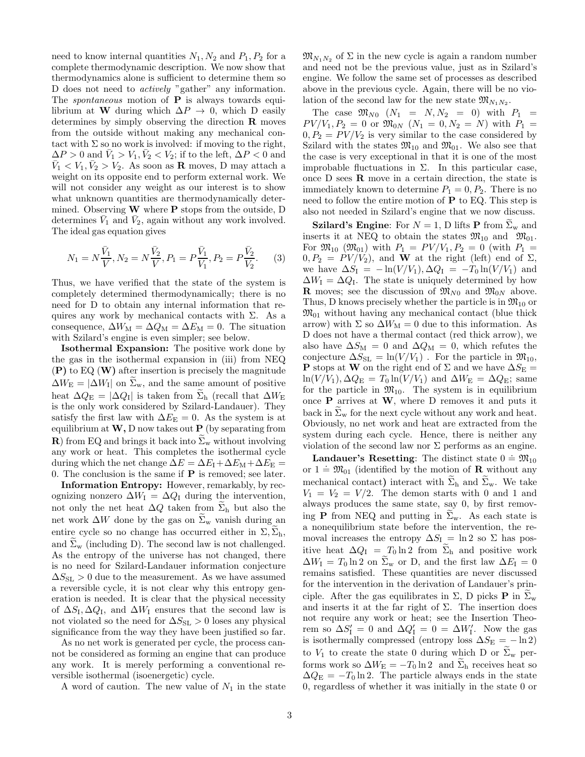need to know internal quantities  $N_1, N_2$  and  $P_1, P_2$  for a complete thermodynamic description. We now show that thermodynamics alone is sufficient to determine them so D does not need to actively "gather" any information. The *spontaneous* motion of  $P$  is always towards equilibrium at W during which  $\Delta P \to 0$ , which D easily determines by simply observing the direction R moves from the outside without making any mechanical contact with  $\Sigma$  so no work is involved: if moving to the right,  $\Delta P > 0$  and  $\bar{V}_1 > V_1, \bar{V}_2 < V_2$ ; if to the left,  $\Delta P < 0$  and  $\bar{V}_1 < V_1, \bar{V}_2 > V_2$ . As soon as **R** moves, D may attach a weight on its opposite end to perform external work. We will not consider any weight as our interest is to show what unknown quantities are thermodynamically determined. Observing W where P stops from the outside, D determines  $\bar{V}_1$  and  $\bar{V}_2$ , again without any work involved. The ideal gas equation gives

$$
N_1 = N\frac{\bar{V}_1}{V}, N_2 = N\frac{\bar{V}_2}{V}, P_1 = P\frac{\bar{V}_1}{V_1}, P_2 = P\frac{\bar{V}_2}{V_2}.
$$
 (3)

Thus, we have verified that the state of the system is completely determined thermodynamically; there is no need for D to obtain any internal information that requires any work by mechanical contacts with  $\Sigma$ . As a consequence,  $\Delta W_M = \Delta Q_M = \Delta E_M = 0$ . The situation with Szilard's engine is even simpler; see below.

Isothermal Expansion: The positive work done by the gas in the isothermal expansion in (iii) from NEQ  $(P)$  to EQ  $(W)$  after insertion is precisely the magnitude  $\Delta W_{\rm E} = |\Delta W_{\rm I}|$  on  $\tilde{\Sigma}_{\rm w}$ , and the same amount of positive heat  $\Delta Q_{\rm E} = |\Delta Q_{\rm I}|$  is taken from  $\widetilde{\Sigma}_{\rm h}$  (recall that  $\Delta W_{\rm E}$ is the only work considered by Szilard-Landauer). They satisfy the first law with  $\Delta E_{\rm E} = 0$ . As the system is at equilibrium at  $W$ , D now takes out P (by separating from R) from EQ and brings it back into  $\Sigma_{\rm w}$  without involving any work or heat. This completes the isothermal cycle during which the net change  $\Delta E = \Delta E_I + \Delta E_M + \Delta E_E =$ 0. The conclusion is the same if  $P$  is removed; see later.

Information Entropy: However, remarkably, by recognizing nonzero  $\Delta W_{\rm I} = \Delta Q_{\rm I}$  during the intervention, not only the net heat  $\Delta Q$  taken from  $\Sigma_h$  but also the net work  $\Delta W$  done by the gas on  $\Sigma_w$  vanish during an entire cycle so no change has occurred either in  $\Sigma$ ,  $\Sigma_h$ , and  $\Sigma_{\rm w}$  (including D). The second law is not challenged. As the entropy of the universe has not changed, there is no need for Szilard-Landauer information conjecture  $\Delta S_{\rm SL} > 0$  due to the measurement. As we have assumed a reversible cycle, it is not clear why this entropy generation is needed. It is clear that the physical necessity of  $\Delta S_{\text{I}}, \Delta Q_{\text{I}}$ , and  $\Delta W_{\text{I}}$  ensures that the second law is not violated so the need for  $\Delta S_{\text{SL}} > 0$  loses any physical significance from the way they have been justified so far.

As no net work is generated per cycle, the process cannot be considered as forming an engine that can produce any work. It is merely performing a conventional reversible isothermal (isoenergetic) cycle.

A word of caution. The new value of  $N_1$  in the state

 $\mathfrak{M}_{N_1N_2}$  of  $\Sigma$  in the new cycle is again a random number and need not be the previous value, just as in Szilard's engine. We follow the same set of processes as described above in the previous cycle. Again, there will be no violation of the second law for the new state  $\mathfrak{M}_{N_1N_2}$ .

The case  $\mathfrak{M}_{N0}$   $(N_1 = N, N_2 = 0)$  with  $P_1 =$  $PV/V_1, P_2 = 0$  or  $\mathfrak{M}_{0N}$   $(N_1 = 0, N_2 = N)$  with  $P_1 =$  $0, P_2 = PV/V_2$  is very similar to the case considered by Szilard with the states  $\mathfrak{M}_{10}$  and  $\mathfrak{M}_{01}$ . We also see that the case is very exceptional in that it is one of the most improbable fluctuations in Σ. In this particular case, once D sees R move in a certain direction, the state is immediately known to determine  $P_1 = 0, P_2$ . There is no need to follow the entire motion of  $P$  to EQ. This step is also not needed in Szilard's engine that we now discuss.

**Szilard's Engine:** For  $N = 1$ , D lifts **P** from  $\Sigma_w$  and inserts it at NEQ to obtain the states  $\mathfrak{M}_{10}$  and  $\mathfrak{M}_{01}$ . For  $\mathfrak{M}_{10}$  ( $\mathfrak{M}_{01}$ ) with  $P_1 = PV/V_1, P_2 = 0$  (with  $P_1 =$  $0, P_2 = PV/V_2$ , and W at the right (left) end of  $\Sigma$ , we have  $\Delta S_{\rm I} = -\ln(V/V_1), \Delta Q_{\rm I} = -T_0 \ln(V/V_1)$  and  $\Delta W_{\rm I} = \Delta Q_{\rm I}$ . The state is uniquely determined by how **R** moves; see the discussion of  $\mathfrak{M}_{N0}$  and  $\mathfrak{M}_{0N}$  above. Thus, D knows precisely whether the particle is in  $\mathfrak{M}_{10}$  or  $\mathfrak{M}_{01}$  without having any mechanical contact (blue thick arrow) with  $\Sigma$  so  $\Delta W_M = 0$  due to this information. As D does not have a thermal contact (red thick arrow), we also have  $\Delta S_{\text{M}} = 0$  and  $\Delta Q_{\text{M}} = 0$ , which refutes the conjecture  $\Delta S_{\text{SL}} = \ln(V/V_1)$ . For the particle in  $\mathfrak{M}_{10}$ , **P** stops at **W** on the right end of  $\Sigma$  and we have  $\Delta S_{\text{E}}$  =  $\ln(V/V_1)$ ,  $\Delta Q_{\rm E} = T_0 \ln(V/V_1)$  and  $\Delta W_{\rm E} = \Delta Q_{\rm E}$ ; same for the particle in  $\mathfrak{M}_{10}$ . The system is in equilibrium once  $P$  arrives at  $W$ , where  $D$  removes it and puts it back in  $\tilde{\Sigma}_{w}$  for the next cycle without any work and heat. Obviously, no net work and heat are extracted from the system during each cycle. Hence, there is neither any violation of the second law nor  $\Sigma$  performs as an engine.

**Landauer's Resetting:** The distinct state  $0 = \mathfrak{M}_{10}$ or  $1 = \mathfrak{M}_{01}$  (identified by the motion of **R** without any mechanical contact) interact with  $\widetilde{\Sigma}_{h}$  and  $\widetilde{\Sigma}_{w}$ . We take  $V_1 = V_2 = V/2$ . The demon starts with 0 and 1 and always produces the same state, say 0, by first removing **P** from NEQ and putting in  $\tilde{\Sigma}_{w}$ . As each state is a nonequilibrium state before the intervention, the removal increases the entropy  $\Delta S_I = \ln 2$  so  $\Sigma$  has positive heat  $\Delta Q_{\rm I} = T_0 \ln 2$  from  $\Sigma_{\rm h}$  and positive work  $\Delta W_{\rm I} = T_0 \ln 2$  on  $\tilde{\Sigma}_{\rm w}$  or D, and the first law  $\Delta E_{\rm I} = 0$ remains satisfied. These quantities are never discussed for the intervention in the derivation of Landauer's principle. After the gas equilibrates in  $\Sigma$ , D picks **P** in  $\Sigma_{\rm w}$ and inserts it at the far right of  $\Sigma$ . The insertion does not require any work or heat; see the Insertion Theorem so  $\Delta S'_I = 0$  and  $\Delta Q'_I = 0 = \Delta W'_I$ . Now the gas is isothermally compressed (entropy loss  $\Delta S_{\rm E} = -\ln 2$ ) to  $V_1$  to create the state 0 during which D or  $\widetilde{\Sigma}_{w}$  performs work so  $\Delta W_{\rm E} = -T_0 \ln 2$  and  $\Sigma_{\rm h}$  receives heat so  $\Delta Q_{\rm E} = -T_0 \ln 2$ . The particle always ends in the state 0, regardless of whether it was initially in the state 0 or